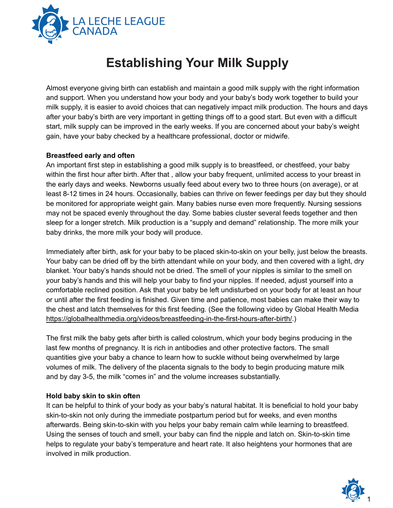

# **Establishing Your Milk Supply**

Almost everyone giving birth can establish and maintain a good milk supply with the right information and support. When you understand how your body and your baby's body work together to build your milk supply, it is easier to avoid choices that can negatively impact milk production. The hours and days after your baby's birth are very important in getting things off to a good start. But even with a difficult start, milk supply can be improved in the early weeks. If you are concerned about your baby's weight gain, have your baby checked by a healthcare professional, doctor or midwife.

# **Breastfeed early and often**

An important first step in establishing a good milk supply is to breastfeed, or chestfeed, your baby within the first hour after birth. After that , allow your baby frequent, unlimited access to your breast in the early days and weeks. Newborns usually feed about every two to three hours (on average), or at least 8-12 times in 24 hours. Occasionally, babies can thrive on fewer feedings per day but they should be monitored for appropriate weight gain. Many babies nurse even more frequently. Nursing sessions may not be spaced evenly throughout the day. Some babies cluster several feeds together and then sleep for a longer stretch. Milk production is a "supply and demand" relationship. The more milk your baby drinks, the more milk your body will produce.

Immediately after birth, ask for your baby to be placed skin-to-skin on your belly, just below the breasts. Your baby can be dried off by the birth attendant while on your body, and then covered with a light, dry blanket. Your baby's hands should not be dried. The smell of your nipples is similar to the smell on your baby's hands and this will help your baby to find your nipples. If needed, adjust yourself into a comfortable reclined position. Ask that your baby be left undisturbed on your body for at least an hour or until after the first feeding is finished. Given time and patience, most babies can make their way to the chest and latch themselves for this first feeding. (See the following video by Global Health Media <https://globalhealthmedia.org/videos/breastfeeding-in-the-first-hours-after-birth/>.)

The first milk the baby gets after birth is called colostrum, which your body begins producing in the last few months of pregnancy. It is rich in antibodies and other protective factors. The small quantities give your baby a chance to learn how to suckle without being overwhelmed by large volumes of milk. The delivery of the placenta signals to the body to begin producing mature milk and by day 3-5, the milk "comes in" and the volume increases substantially.

#### **Hold baby skin to skin often**

It can be helpful to think of your body as your baby's natural habitat. It is beneficial to hold your baby skin-to-skin not only during the immediate postpartum period but for weeks, and even months afterwards. Being skin-to-skin with you helps your baby remain calm while learning to breastfeed. Using the senses of touch and smell, your baby can find the nipple and latch on. Skin-to-skin time helps to regulate your baby's temperature and heart rate. It also heightens your hormones that are involved in milk production.

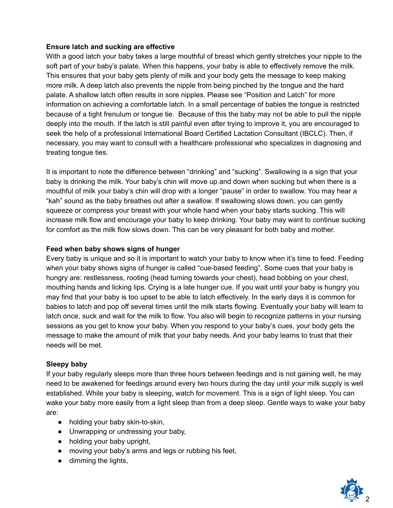# **Ensure latch and sucking are effective**

With a good latch your baby takes a large mouthful of breast which gently stretches your nipple to the soft part of your baby's palate. When this happens, your baby is able to effectively remove the milk. This ensures that your baby gets plenty of milk and your body gets the message to keep making more milk. A deep latch also prevents the nipple from being pinched by the tongue and the hard palate. A shallow latch often results in sore nipples. Please see "Position and Latch" for more information on achieving a comfortable latch. In a small percentage of babies the tongue is restricted because of a tight frenulum or tongue tie. Because of this the baby may not be able to pull the nipple deeply into the mouth. If the latch is still painful even after trying to improve it, you are encouraged to seek the help of a professional International Board Certified Lactation Consultant (IBCLC). Then, if necessary, you may want to consult with a healthcare professional who specializes in diagnosing and treating tongue ties.

It is important to note the difference between "drinking" and "sucking". Swallowing is a sign that your baby is drinking the milk. Your baby's chin will move up and down when sucking but when there is a mouthful of milk your baby's chin will drop with a longer "pause" in order to swallow. You may hear a "kah" sound as the baby breathes out after a swallow. If swallowing slows down, you can gently squeeze or compress your breast with your whole hand when your baby starts sucking. This will increase milk flow and encourage your baby to keep drinking. Your baby may want to continue sucking for comfort as the milk flow slows down. This can be very pleasant for both baby and mother.

# **Feed when baby shows signs of hunger**

Every baby is unique and so it is important to watch your baby to know when it's time to feed. Feeding when your baby shows signs of hunger is called "cue-based feeding". Some cues that your baby is hungry are: restlessness, rooting (head turning towards your chest), head bobbing on your chest, mouthing hands and licking lips. Crying is a late hunger cue. If you wait until your baby is hungry you may find that your baby is too upset to be able to latch effectively. In the early days it is common for babies to latch and pop off several times until the milk starts flowing. Eventually your baby will learn to latch once, suck and wait for the milk to flow. You also will begin to recognize patterns in your nursing sessions as you get to know your baby. When you respond to your baby's cues, your body gets the message to make the amount of milk that your baby needs. And your baby learns to trust that their needs will be met.

# **Sleepy baby**

If your baby regularly sleeps more than three hours between feedings and is not gaining well, he may need to be awakened for feedings around every two hours during the day until your milk supply is well established. While your baby is sleeping, watch for movement. This is a sign of light sleep. You can wake your baby more easily from a light sleep than from a deep sleep. Gentle ways to wake your baby are:

- holding your baby skin-to-skin,
- Unwrapping or undressing your baby,
- holding your baby upright,
- moving your baby's arms and legs or rubbing his feet,
- dimming the lights,

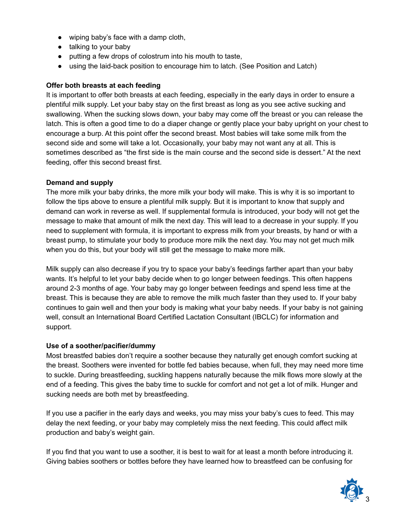- wiping baby's face with a damp cloth,
- talking to your baby
- putting a few drops of colostrum into his mouth to taste,
- using the laid-back position to encourage him to latch. (See Position and Latch)

# **Offer both breasts at each feeding**

It is important to offer both breasts at each feeding, especially in the early days in order to ensure a plentiful milk supply. Let your baby stay on the first breast as long as you see active sucking and swallowing. When the sucking slows down, your baby may come off the breast or you can release the latch. This is often a good time to do a diaper change or gently place your baby upright on your chest to encourage a burp. At this point offer the second breast. Most babies will take some milk from the second side and some will take a lot. Occasionally, your baby may not want any at all. This is sometimes described as "the first side is the main course and the second side is dessert." At the next feeding, offer this second breast first.

# **Demand and supply**

The more milk your baby drinks, the more milk your body will make. This is why it is so important to follow the tips above to ensure a plentiful milk supply. But it is important to know that supply and demand can work in reverse as well. If supplemental formula is introduced, your body will not get the message to make that amount of milk the next day. This will lead to a decrease in your supply. If you need to supplement with formula, it is important to express milk from your breasts, by hand or with a breast pump, to stimulate your body to produce more milk the next day. You may not get much milk when you do this, but your body will still get the message to make more milk.

Milk supply can also decrease if you try to space your baby's feedings farther apart than your baby wants. It's helpful to let your baby decide when to go longer between feedings. This often happens around 2-3 months of age. Your baby may go longer between feedings and spend less time at the breast. This is because they are able to remove the milk much faster than they used to. If your baby continues to gain well and then your body is making what your baby needs. If your baby is not gaining well, consult an International Board Certified Lactation Consultant (IBCLC) for information and support.

# **Use of a soother/pacifier/dummy**

Most breastfed babies don't require a soother because they naturally get enough comfort sucking at the breast. Soothers were invented for bottle fed babies because, when full, they may need more time to suckle. During breastfeeding, suckling happens naturally because the milk flows more slowly at the end of a feeding. This gives the baby time to suckle for comfort and not get a lot of milk. Hunger and sucking needs are both met by breastfeeding.

If you use a pacifier in the early days and weeks, you may miss your baby's cues to feed. This may delay the next feeding, or your baby may completely miss the next feeding. This could affect milk production and baby's weight gain.

If you find that you want to use a soother, it is best to wait for at least a month before introducing it. Giving babies soothers or bottles before they have learned how to breastfeed can be confusing for